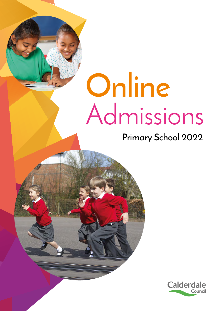# **Online** Admissions

# **Primary School 2022**

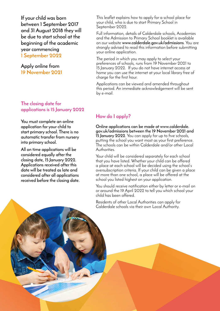**If your child was born between 1 September 2017 and 31 August 2018 they will be due to start school at the beginning of the academic year commencing 1 September 2022**

**Apply online from 19 November 2021**

#### **The closing date for applications is 15 January 2022**

**You must complete an online application for your child to start primary school. There is no automatic transfer from nursery into primary school.**

**All on time applications will be considered equally after the closing date, 15 January 2022. Applications received after this date will be treated as late and considered after all applications received before the closing date.**

This leaflet explains how to apply for a school place for your child, who is due to start Primary School in September 2022.

Full information, details of Calderdale schools, Academies and the Admission to Primary School booklet is available on our website **www.calderdale.gov.uk/admissions**. You are strongly advised to read this information before submitting your online application.

The period in which you may apply to select your preferences of schools, runs from 19 November 2021 to 15 January 2022. If you do not have internet access at home you can use the internet at your local library free of charge for the first hour.

Applications can be viewed and amended throughout this period. An immediate acknowledgement will be sent by e-mail.

#### **How do I apply?**

**Online applications can be made at www.calderdale. gov.uk/admissions between the 19 November 2021 and 15 January 2022**. You can apply for up to five schools, putting the school you want most as your first preference. The schools can be within Calderdale and/or other Local Authorities.

Your child will be considered separately for each school that you have listed. Whether your child can be offered a place at each school will be decided using the school's oversubscription criteria. If your child can be given a place at more than one school, a place will be offered at the school you listed highest on your application.

You should receive notification either by letter or e-mail on or around the 19 April 2022 to tell you which school your child has been offered.

Residents of other Local Authorities can apply for Calderdale schools via their own Local Authority.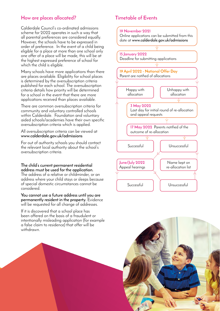#### **How are places allocated? Timetable of Events**

Calderdale Council's co-ordinated admissions scheme for 2022 operates in such a way that all parental preferences are considered equally. However, the schools have to be expressed in order of preference. In the event of a child being eligible for a place at more than one school only one offer of a place will be made, this will be at the highest expressed preference of school for which the child is eligible.

Many schools have more applications than there are places available. Eligibility for school places is determined by the oversubscription criteria published for each school. The oversubscription criteria details how priority will be determined for a school in the event that there are more applications received than places available.

There are common oversubscription criteria for community and voluntary controlled schools within Calderdale. Foundation and voluntary aided schools/academies have their own specific oversubscription criteria which is applied.

All oversubscription criteria can be viewed at **www.calderdale.gov.uk/admissions** 

For out of authority schools you should contact the relevant local authority about the school's oversubscription criteria.

#### **The child's current permanent residential address must be used for the application.**

The address of a relative or childminder, or an address where your child stays or sleeps because of special domestic circumstances cannot be considered.

**You cannot use a future address until you are permanently resident in the property.** Evidence will be requested for all change of addresses.

If it is discovered that a school place has been offered on the basis of a fraudulent or intentionally misleading application (for example a false claim to residence) that offer will be withdrawn.



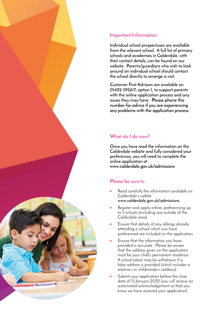#### **Important Information**

**Individual school prospectuses are available from the relevant school. A full list of primary schools and academies in Calderdale, with their contact details, can be found on our website. Parents/guardians who wish to look around an individual school should contact the school directly to arrange a visit.**

**Customer First Advisors are available on 01422 392617, option 1, to support parents with the online application process and any issues they may have. Please phone this number for advice if you are experiencing any problems with the application process.**

#### **What do I do now?**

**Once you have read the information on the Calderdale website and fully considered your preferences, you will need to complete the online application at www.calderdale.gov.uk/admissions**

#### **Please be sure to**

- Read carefully the information available on Calderdale's webite **www.calderdale.gov.uk/admissions.**
- Register and apply online, preferencing up to 5 schools (including any outside of the Calderdale area).
- Ensure that details of any siblings already attending a school which you have preferenced are included on the application.
- Ensure that the information you have provided is accurate. Please be aware that the address given on the application must be your child's permanent residence. A school place may be withdrawn if a false address is provided (which includes a relative's or childminder's address).
- Submit your application before the close date of 15 January 2022 (you will receive an automated acknowledgement so that you know we have received your application).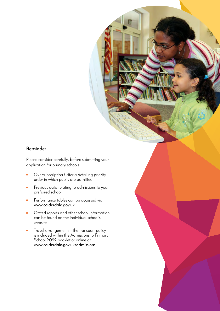#### **Reminder**

Please consider carefully, before submitting your application for primary schools:

- Oversubscription Criteria detailing priority order in which pupils are admitted.
- Previous data relating to admissions to your preferred school.
- Performance tables can be accessed via **www.calderdale.gov.uk**
- Ofsted reports and other school information can be found on the individual school's website.
- Travel arrangements the transport policy is included within the Admissions to Primary School 2022 booklet or online at **www.calderdale.gov.uk/admissions**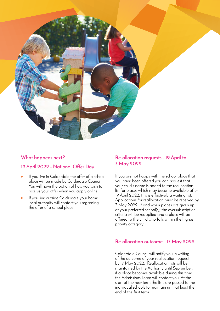

### **What happens next?**

#### **19 April 2022 - National Offer Day**

- If you live in Calderdale the offer of a school place will be made by Calderdale Council. You will have the option of how you wish to receive your offer when you apply online.
- If you live outside Calderdale your home local authority will contact you regarding the offer of a school place.

#### **Re-allocation requests - 19 April to 3 May 2022**

If you are not happy with the school place that you have been offered you can request that your child's name is added to the reallocation list for places which may become available after 19 April 2022, this is effectively a waiting list. Applications for reallocation must be received by 3 May 2022. If and when places are given up at your preferred school(s), the oversubscription criteria will be reapplied and a place will be offered to the child who falls within the highest priority category.

#### **Re-allocation outcome - 17 May 2022**

Calderdale Council will notify you in writing of the outcome of your reallocation request by 17 May 2022. Reallocation lists will be maintained by the Authority until September, if a place becomes available during this time the Admissions Team will contact you. At the start of the new term the lists are passed to the individual schools to maintain until at least the end of the first term.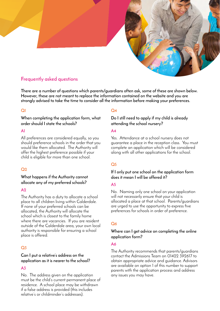

#### **Frequently asked questions**

**There are a number of questions which parents/guardians often ask, some of these are shown below. However, these are not meant to replace the information contained on the website and you are strongly advised to take the time to consider all the information before making your preferences.**

#### **Q1**

**When completing the application form, what order should I state the schools?**

#### **A1**

All preferences are considered equally, so you should preference schools in the order that you would like them allocated. The Authority will offer the highest preference possible if your child is eligible for more than one school.

#### **Q2**

#### **What happens if the Authority cannot allocate any of my preferred schools?**

#### A<sub>2</sub>

The Authority has a duty to allocate a school place to all children living within Calderdale. If none of your preferred schools can be allocated, the Authority will allocate the school which is closest to the family home where there are vacancies. If you are resident outside of the Calderdale area, your own local authority is responsible for ensuring a school place is offered.

#### **Q3**

#### **Can I put a relative's address on the application as it is nearer to the school?**

#### **A3**

No. The address given on the application must be the child's current permanent place of residence. A school place may be withdrawn if a false address is provided (this includes relative's or childminder's addresses).

#### **Q4**

**Do I still need to apply if my child is already attending the school nursery?**

#### **A4**

Yes. Attendance at a school nursery does not guarantee a place in the reception class. You must complete an application which will be considered along with all other applications for the school.

#### **Q5**

#### **If I only put one school on the application form does it mean I will be offered it?**

#### **A5**

No. Naming only one school on your application will not necessarily ensure that your child is allocated a place at that school. Parents/guardians are urged to use the opportunity to express five preferences for schools in order of preference.

#### **Q6**

#### **Where can I get advice on completing the online application form?**

#### **A6**

The Authority recommends that parents/guardians contact the Admissions Team on 01422 392617 to obtain appropriate advice and guidance. Advisors are available on option 1 of this number to support parents with the application process and address any issues you may have.